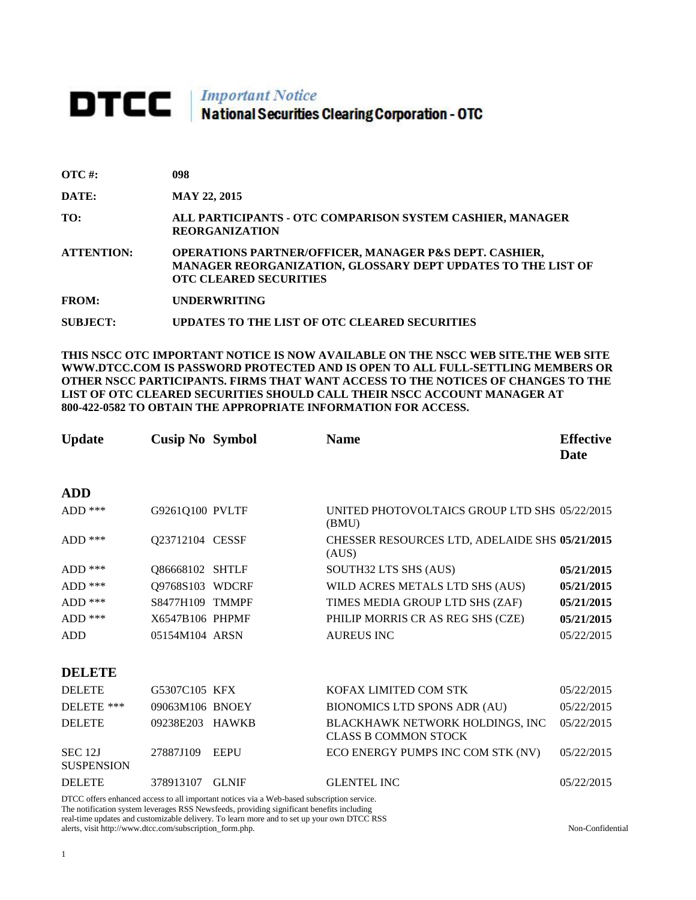# **DTCC** National Securities Clearing Corporation - OTC

| $\overline{\text{OTC}}$ #: | 098 |
|----------------------------|-----|
|                            |     |

**DATE: MAY 22, 2015**

**TO: ALL PARTICIPANTS - OTC COMPARISON SYSTEM CASHIER, MANAGER REORGANIZATION** 

**ATTENTION: OPERATIONS PARTNER/OFFICER, MANAGER P&S DEPT. CASHIER, MANAGER REORGANIZATION, GLOSSARY DEPT UPDATES TO THE LIST OF OTC CLEARED SECURITIES** 

**FROM: UNDERWRITING**

**SUBJECT: UPDATES TO THE LIST OF OTC CLEARED SECURITIES**

**THIS NSCC OTC IMPORTANT NOTICE IS NOW AVAILABLE ON THE NSCC WEB SITE.THE WEB SITE WWW.DTCC.COM IS PASSWORD PROTECTED AND IS OPEN TO ALL FULL-SETTLING MEMBERS OR OTHER NSCC PARTICIPANTS. FIRMS THAT WANT ACCESS TO THE NOTICES OF CHANGES TO THE LIST OF OTC CLEARED SECURITIES SHOULD CALL THEIR NSCC ACCOUNT MANAGER AT 800-422-0582 TO OBTAIN THE APPROPRIATE INFORMATION FOR ACCESS.** 

| <b>Update</b>                       | <b>Cusip No Symbol</b> |              | <b>Name</b>                                                    | <b>Effective</b><br>Date |
|-------------------------------------|------------------------|--------------|----------------------------------------------------------------|--------------------------|
| <b>ADD</b>                          |                        |              |                                                                |                          |
| $ADD$ ***                           | G9261Q100 PVLTF        |              | UNITED PHOTOVOLTAICS GROUP LTD SHS 05/22/2015<br>(BMU)         |                          |
| ADD ***                             | Q23712104 CESSF        |              | CHESSER RESOURCES LTD, ADELAIDE SHS 05/21/2015<br>(AUS)        |                          |
| ADD ***                             | Q86668102 SHTLF        |              | SOUTH32 LTS SHS (AUS)                                          | 05/21/2015               |
| $ADD$ ***                           | Q9768S103 WDCRF        |              | WILD ACRES METALS LTD SHS (AUS)                                | 05/21/2015               |
| $ADD$ ***                           | S8477H109 TMMPF        |              | TIMES MEDIA GROUP LTD SHS (ZAF)                                | 05/21/2015               |
| $ADD$ ***                           | X6547B106 PHPMF        |              | PHILIP MORRIS CR AS REG SHS (CZE)                              | 05/21/2015               |
| <b>ADD</b>                          | 05154M104 ARSN         |              | <b>AUREUS INC</b>                                              | 05/22/2015               |
| <b>DELETE</b>                       |                        |              |                                                                |                          |
| <b>DELETE</b>                       | G5307C105 KFX          |              | KOFAX LIMITED COM STK                                          | 05/22/2015               |
| DELETE ***                          | 09063M106 BNOEY        |              | BIONOMICS LTD SPONS ADR (AU)                                   | 05/22/2015               |
| <b>DELETE</b>                       | 09238E203              | <b>HAWKB</b> | BLACKHAWK NETWORK HOLDINGS, INC<br><b>CLASS B COMMON STOCK</b> | 05/22/2015               |
| <b>SEC 12J</b><br><b>SUSPENSION</b> | 27887J109              | <b>EEPU</b>  | ECO ENERGY PUMPS INC COM STK (NV)                              | 05/22/2015               |
| <b>DELETE</b>                       | 378913107              | <b>GLNIF</b> | <b>GLENTEL INC</b>                                             | 05/22/2015               |

DTCC offers enhanced access to all important notices via a Web-based subscription service. The notification system leverages RSS Newsfeeds, providing significant benefits including real-time updates and customizable delivery. To learn more and to set up your own DTCC RSS alerts, visit http://www.dtcc.com/subscription\_form.php. Non-Confidential